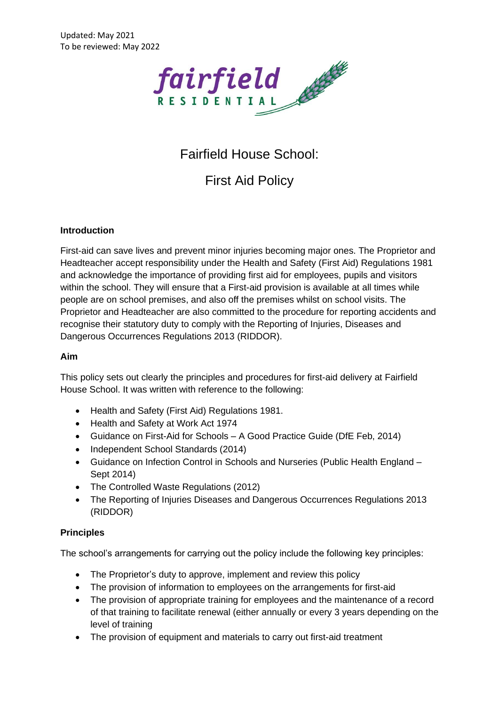

# Fairfield House School:

First Aid Policy

## **Introduction**

First-aid can save lives and prevent minor injuries becoming major ones. The Proprietor and Headteacher accept responsibility under the Health and Safety (First Aid) Regulations 1981 and acknowledge the importance of providing first aid for employees, pupils and visitors within the school. They will ensure that a First-aid provision is available at all times while people are on school premises, and also off the premises whilst on school visits. The Proprietor and Headteacher are also committed to the procedure for reporting accidents and recognise their statutory duty to comply with the Reporting of Injuries, Diseases and Dangerous Occurrences Regulations 2013 (RIDDOR).

#### **Aim**

This policy sets out clearly the principles and procedures for first-aid delivery at Fairfield House School. It was written with reference to the following:

- Health and Safety (First Aid) Regulations 1981.
- Health and Safety at Work Act 1974
- Guidance on First-Aid for Schools A Good Practice Guide (DfE Feb, 2014)
- Independent School Standards (2014)
- Guidance on Infection Control in Schools and Nurseries (Public Health England Sept 2014)
- The Controlled Waste Regulations (2012)
- The Reporting of Injuries Diseases and Dangerous Occurrences Regulations 2013 (RIDDOR)

## **Principles**

The school's arrangements for carrying out the policy include the following key principles:

- The Proprietor's duty to approve, implement and review this policy
- The provision of information to employees on the arrangements for first-aid
- The provision of appropriate training for employees and the maintenance of a record of that training to facilitate renewal (either annually or every 3 years depending on the level of training
- The provision of equipment and materials to carry out first-aid treatment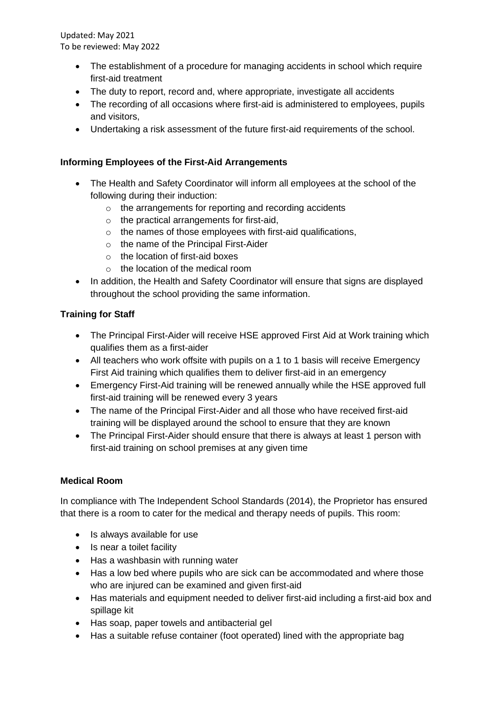- The establishment of a procedure for managing accidents in school which require first-aid treatment
- The duty to report, record and, where appropriate, investigate all accidents
- The recording of all occasions where first-aid is administered to employees, pupils and visitors,
- Undertaking a risk assessment of the future first-aid requirements of the school.

## **Informing Employees of the First-Aid Arrangements**

- The Health and Safety Coordinator will inform all employees at the school of the following during their induction:
	- o the arrangements for reporting and recording accidents
	- $\circ$  the practical arrangements for first-aid,
	- o the names of those employees with first-aid qualifications,
	- o the name of the Principal First-Aider
	- o the location of first-aid boxes
	- o the location of the medical room
- In addition, the Health and Safety Coordinator will ensure that signs are displayed throughout the school providing the same information.

## **Training for Staff**

- The Principal First-Aider will receive HSE approved First Aid at Work training which qualifies them as a first-aider
- All teachers who work offsite with pupils on a 1 to 1 basis will receive Emergency First Aid training which qualifies them to deliver first-aid in an emergency
- Emergency First-Aid training will be renewed annually while the HSE approved full first-aid training will be renewed every 3 years
- The name of the Principal First-Aider and all those who have received first-aid training will be displayed around the school to ensure that they are known
- The Principal First-Aider should ensure that there is always at least 1 person with first-aid training on school premises at any given time

## **Medical Room**

In compliance with The Independent School Standards (2014), the Proprietor has ensured that there is a room to cater for the medical and therapy needs of pupils. This room:

- Is always available for use
- Is near a toilet facility
- Has a washbasin with running water
- Has a low bed where pupils who are sick can be accommodated and where those who are injured can be examined and given first-aid
- Has materials and equipment needed to deliver first-aid including a first-aid box and spillage kit
- Has soap, paper towels and antibacterial gel
- Has a suitable refuse container (foot operated) lined with the appropriate bag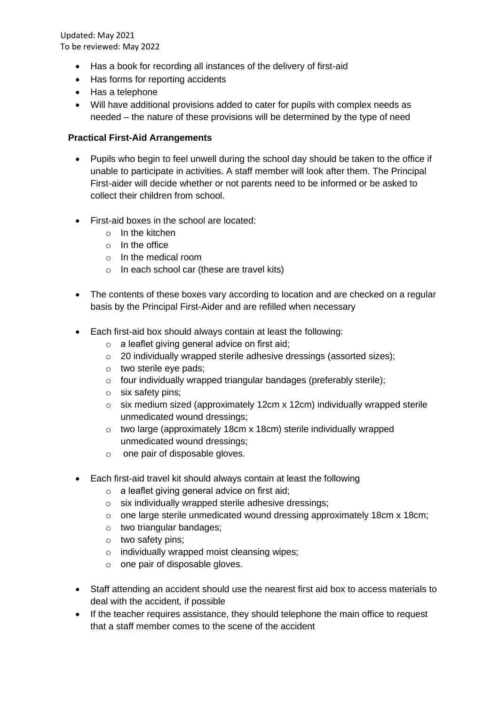- Has a book for recording all instances of the delivery of first-aid
- Has forms for reporting accidents
- Has a telephone
- Will have additional provisions added to cater for pupils with complex needs as needed – the nature of these provisions will be determined by the type of need

#### **Practical First-Aid Arrangements**

- Pupils who begin to feel unwell during the school day should be taken to the office if unable to participate in activities. A staff member will look after them. The Principal First-aider will decide whether or not parents need to be informed or be asked to collect their children from school.
- First-aid boxes in the school are located:
	- $\circ$  In the kitchen
	- $\circ$  In the office
	- o In the medical room
	- o In each school car (these are travel kits)
- The contents of these boxes vary according to location and are checked on a regular basis by the Principal First-Aider and are refilled when necessary
- Each first-aid box should always contain at least the following:
	- o a leaflet giving general advice on first aid;
	- o 20 individually wrapped sterile adhesive dressings (assorted sizes);
	- o two sterile eye pads;
	- o four individually wrapped triangular bandages (preferably sterile);
	- o six safety pins;
	- o six medium sized (approximately 12cm x 12cm) individually wrapped sterile unmedicated wound dressings;
	- o two large (approximately 18cm x 18cm) sterile individually wrapped unmedicated wound dressings;
	- o one pair of disposable gloves.
- Each first-aid travel kit should always contain at least the following
	- o a leaflet giving general advice on first aid;
	- o six individually wrapped sterile adhesive dressings;
	- o one large sterile unmedicated wound dressing approximately 18cm x 18cm;
	- o two triangular bandages;
	- o two safety pins;
	- o individually wrapped moist cleansing wipes;
	- o one pair of disposable gloves.
- Staff attending an accident should use the nearest first aid box to access materials to deal with the accident, if possible
- If the teacher requires assistance, they should telephone the main office to request that a staff member comes to the scene of the accident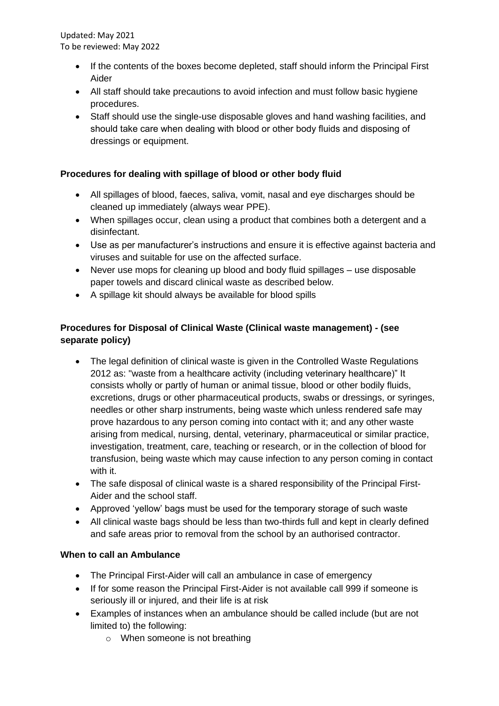- If the contents of the boxes become depleted, staff should inform the Principal First Aider
- All staff should take precautions to avoid infection and must follow basic hygiene procedures.
- Staff should use the single-use disposable gloves and hand washing facilities, and should take care when dealing with blood or other body fluids and disposing of dressings or equipment.

## **Procedures for dealing with spillage of blood or other body fluid**

- All spillages of blood, faeces, saliva, vomit, nasal and eye discharges should be cleaned up immediately (always wear PPE).
- When spillages occur, clean using a product that combines both a detergent and a disinfectant.
- Use as per manufacturer's instructions and ensure it is effective against bacteria and viruses and suitable for use on the affected surface.
- Never use mops for cleaning up blood and body fluid spillages use disposable paper towels and discard clinical waste as described below.
- A spillage kit should always be available for blood spills

## **Procedures for Disposal of Clinical Waste (Clinical waste management) - (see separate policy)**

- The legal definition of clinical waste is given in the Controlled Waste Regulations 2012 as: "waste from a healthcare activity (including veterinary healthcare)" It consists wholly or partly of human or animal tissue, blood or other bodily fluids, excretions, drugs or other pharmaceutical products, swabs or dressings, or syringes, needles or other sharp instruments, being waste which unless rendered safe may prove hazardous to any person coming into contact with it; and any other waste arising from medical, nursing, dental, veterinary, pharmaceutical or similar practice, investigation, treatment, care, teaching or research, or in the collection of blood for transfusion, being waste which may cause infection to any person coming in contact with it.
- The safe disposal of clinical waste is a shared responsibility of the Principal First-Aider and the school staff.
- Approved 'yellow' bags must be used for the temporary storage of such waste
- All clinical waste bags should be less than two-thirds full and kept in clearly defined and safe areas prior to removal from the school by an authorised contractor.

## **When to call an Ambulance**

- The Principal First-Aider will call an ambulance in case of emergency
- If for some reason the Principal First-Aider is not available call 999 if someone is seriously ill or injured, and their life is at risk
- Examples of instances when an ambulance should be called include (but are not limited to) the following:
	- o When someone is not breathing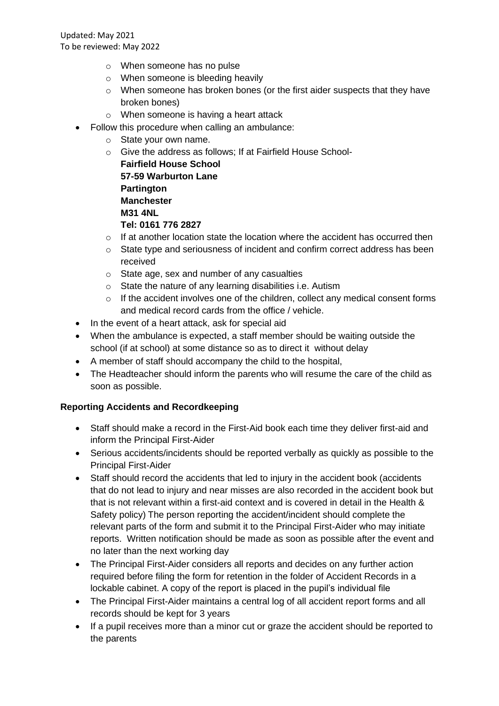- o When someone has no pulse
- o When someone is bleeding heavily
- $\circ$  When someone has broken bones (or the first aider suspects that they have broken bones)
- o When someone is having a heart attack
- Follow this procedure when calling an ambulance:
	- o State your own name.
	- o Give the address as follows; If at Fairfield House School-

**Fairfield House School 57-59 Warburton Lane Partington Manchester M31 4NL Tel: 0161 776 2827**

- $\circ$  If at another location state the location where the accident has occurred then
- $\circ$  State type and seriousness of incident and confirm correct address has been received
- o State age, sex and number of any casualties
- o State the nature of any learning disabilities i.e. Autism
- o If the accident involves one of the children, collect any medical consent forms and medical record cards from the office / vehicle.
- In the event of a heart attack, ask for special aid
- When the ambulance is expected, a staff member should be waiting outside the school (if at school) at some distance so as to direct it without delay
- A member of staff should accompany the child to the hospital,
- The Headteacher should inform the parents who will resume the care of the child as soon as possible.

## **Reporting Accidents and Recordkeeping**

- Staff should make a record in the First-Aid book each time they deliver first-aid and inform the Principal First-Aider
- Serious accidents/incidents should be reported verbally as quickly as possible to the Principal First-Aider
- Staff should record the accidents that led to injury in the accident book (accidents that do not lead to injury and near misses are also recorded in the accident book but that is not relevant within a first-aid context and is covered in detail in the Health & Safety policy) The person reporting the accident/incident should complete the relevant parts of the form and submit it to the Principal First-Aider who may initiate reports. Written notification should be made as soon as possible after the event and no later than the next working day
- The Principal First-Aider considers all reports and decides on any further action required before filing the form for retention in the folder of Accident Records in a lockable cabinet. A copy of the report is placed in the pupil's individual file
- The Principal First-Aider maintains a central log of all accident report forms and all records should be kept for 3 years
- If a pupil receives more than a minor cut or graze the accident should be reported to the parents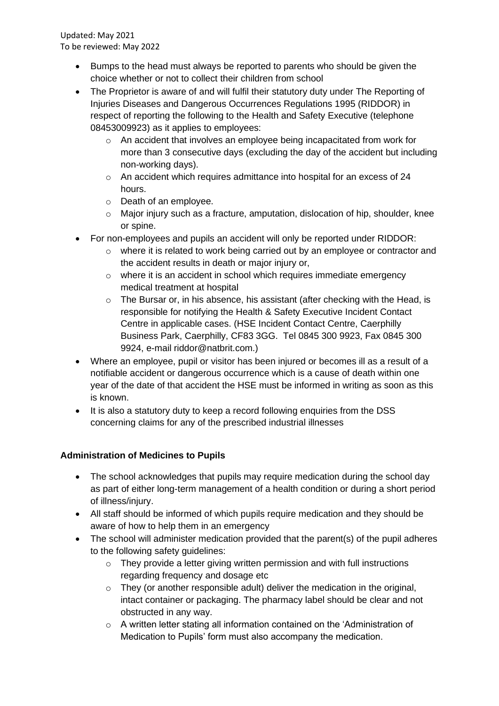- Bumps to the head must always be reported to parents who should be given the choice whether or not to collect their children from school
- The Proprietor is aware of and will fulfil their statutory duty under The Reporting of Injuries Diseases and Dangerous Occurrences Regulations 1995 (RIDDOR) in respect of reporting the following to the Health and Safety Executive (telephone 08453009923) as it applies to employees:
	- o An accident that involves an employee being incapacitated from work for more than 3 consecutive days (excluding the day of the accident but including non-working days).
	- o An accident which requires admittance into hospital for an excess of 24 hours.
	- o Death of an employee.
	- o Major injury such as a fracture, amputation, dislocation of hip, shoulder, knee or spine.
- For non-employees and pupils an accident will only be reported under RIDDOR:
	- o where it is related to work being carried out by an employee or contractor and the accident results in death or major injury or,
	- o where it is an accident in school which requires immediate emergency medical treatment at hospital
	- o The Bursar or, in his absence, his assistant (after checking with the Head, is responsible for notifying the Health & Safety Executive Incident Contact Centre in applicable cases. (HSE Incident Contact Centre, Caerphilly Business Park, Caerphilly, CF83 3GG. Tel 0845 300 9923, Fax 0845 300 9924, e-mail riddor@natbrit.com.)
- Where an employee, pupil or visitor has been injured or becomes ill as a result of a notifiable accident or dangerous occurrence which is a cause of death within one year of the date of that accident the HSE must be informed in writing as soon as this is known.
- It is also a statutory duty to keep a record following enquiries from the DSS concerning claims for any of the prescribed industrial illnesses

# **Administration of Medicines to Pupils**

- The school acknowledges that pupils may require medication during the school day as part of either long-term management of a health condition or during a short period of illness/injury.
- All staff should be informed of which pupils require medication and they should be aware of how to help them in an emergency
- The school will administer medication provided that the parent(s) of the pupil adheres to the following safety guidelines:
	- o They provide a letter giving written permission and with full instructions regarding frequency and dosage etc
	- $\circ$  They (or another responsible adult) deliver the medication in the original, intact container or packaging. The pharmacy label should be clear and not obstructed in any way.
	- o A written letter stating all information contained on the 'Administration of Medication to Pupils' form must also accompany the medication.